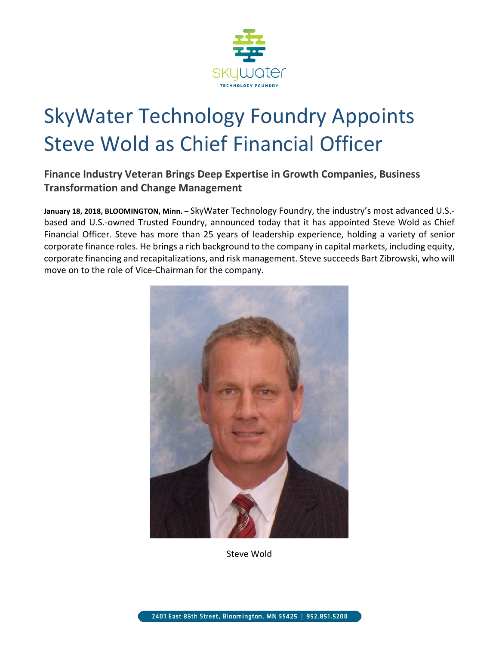

## SkyWater Technology Foundry Appoints Steve Wold as Chief Financial Officer

**Finance Industry Veteran Brings Deep Expertise in Growth Companies, Business Transformation and Change Management** 

**January 18, 2018, BLOOMINGTON, Minn. –** SkyWater Technology Foundry, the industry's most advanced U.S. based and U.S.-owned Trusted Foundry, announced today that it has appointed Steve Wold as Chief Financial Officer. Steve has more than 25 years of leadership experience, holding a variety of senior corporate finance roles. He brings a rich background to the company in capital markets, including equity, corporate financing and recapitalizations, and risk management. Steve succeeds Bart Zibrowski, who will move on to the role of Vice-Chairman for the company.



Steve Wold